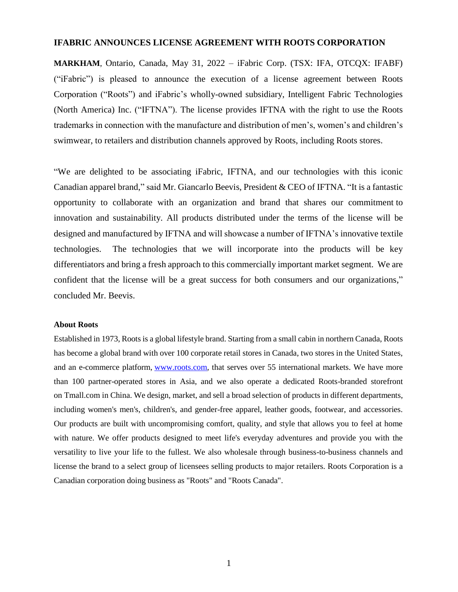## **IFABRIC ANNOUNCES LICENSE AGREEMENT WITH ROOTS CORPORATION**

**MARKHAM**, Ontario, Canada, May 31, 2022 – iFabric Corp. (TSX: IFA, OTCQX: IFABF) ("iFabric") is pleased to announce the execution of a license agreement between Roots Corporation ("Roots") and iFabric's wholly-owned subsidiary, Intelligent Fabric Technologies (North America) Inc. ("IFTNA"). The license provides IFTNA with the right to use the Roots trademarks in connection with the manufacture and distribution of men's, women's and children's swimwear, to retailers and distribution channels approved by Roots, including Roots stores.

"We are delighted to be associating iFabric, IFTNA, and our technologies with this iconic Canadian apparel brand," said Mr. Giancarlo Beevis, President & CEO of IFTNA. "It is a fantastic opportunity to collaborate with an organization and brand that shares our commitment to innovation and sustainability. All products distributed under the terms of the license will be designed and manufactured by IFTNA and will showcase a number of IFTNA's innovative textile technologies. The technologies that we will incorporate into the products will be key differentiators and bring a fresh approach to this commercially important market segment. We are confident that the license will be a great success for both consumers and our organizations," concluded Mr. Beevis.

## **About Roots**

Established in 1973, Roots is a global lifestyle brand. Starting from a small cabin in northern Canada, Roots has become a global brand with over 100 corporate retail stores in Canada, two stores in the United States, and an e-commerce platform, [www.roots.com,](http://www.roots.com/) that serves over 55 international markets. We have more than 100 partner-operated stores in Asia, and we also operate a dedicated Roots-branded storefront on [Tmall.com](http://tmall.com/) in China. We design, market, and sell a broad selection of products in different departments, including women's men's, children's, and gender-free apparel, leather goods, footwear, and accessories. Our products are built with uncompromising comfort, quality, and style that allows you to feel at home with nature. We offer products designed to meet life's everyday adventures and provide you with the versatility to live your life to the fullest. We also wholesale through business-to-business channels and license the brand to a select group of licensees selling products to major retailers. Roots Corporation is a Canadian corporation doing business as "Roots" and "Roots Canada".